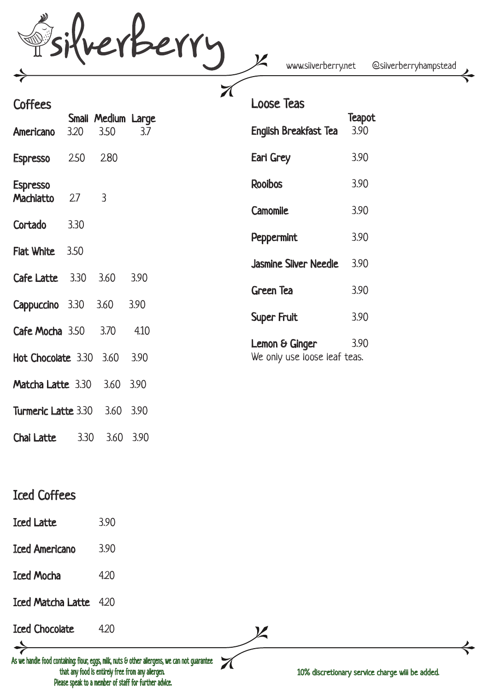revberry

www.silverberry.net @silverberryhampstead

| <b>Coffees</b>               |      |                            |      | ╱( | <b>Loose Teas</b>                              |                |
|------------------------------|------|----------------------------|------|----|------------------------------------------------|----------------|
| <b>Americano</b>             | 3.20 | Small Medium Large<br>3.50 | 3.7  |    | English Breakfast Tea                          | Teapot<br>3.90 |
| <b>Espresso</b>              | 2.50 | 2.80                       |      |    | Earl Grey                                      | 3.90           |
| <b>Espresso</b><br>Machiatto | 2.7  | $\overline{3}$             |      |    | <b>Rooibos</b>                                 | 3.90           |
| Cortado                      | 3.30 |                            |      |    | Camomile                                       | 3.90           |
|                              |      |                            |      |    | Peppermint                                     | 3.90           |
| <b>Flat White</b>            | 3.50 |                            |      |    | <b>Jasmine Silver Needle</b>                   | 3.90           |
| Cafe Latte                   | 3.30 | 3.60                       | 3.90 |    | Green Tea                                      | 3.90           |
| Cappuccino 3.30              |      | 3.60                       | 3.90 |    |                                                |                |
| Cafe Mocha 3.50              |      | 3.70                       | 4.10 |    | Super Fruit                                    | 3.90           |
| Hot Chocolate 3.30           |      | 3.60                       | 3.90 |    | Lemon & Ginger<br>We only use loose leaf teas. | 3.90           |
| Matcha Latte 3.30            |      | 3.60                       | 3.90 |    |                                                |                |
| Turmeric Latte 3.30          |      | 3.60                       | 3.90 |    |                                                |                |

Chai Latte 3.30 3.60 3.90

## Iced Coffees

- Iced Latte 3.90
- Iced Americano 3.90
- Iced Mocha 4.20
- Iced Matcha Latte 4.20
- Iced Chocolate 4.20

As we handle food containing: flour, eggs, milk, nuts & other allergens, we can not guarantee that any food is entirely free from any allergen. Please speak to a member of staff for further advice.

10% discretionary service charge will be added.

 $\boldsymbol{\mathcal{L}}$ 

 ${\boldsymbol{\mathsf Z}}$